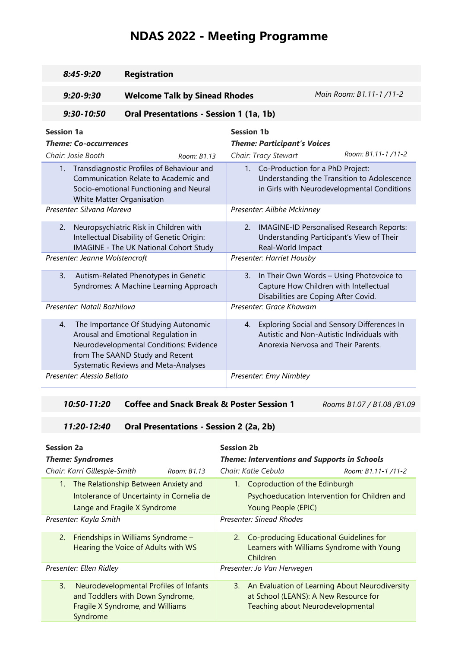# **NDAS 2022 - Meeting Programme**

| $8:45-9:20$                                                                                                                                                                                      | <b>Registration</b>                                                                                                                                                                               |                                                                                                                                                                                 |  |  |
|--------------------------------------------------------------------------------------------------------------------------------------------------------------------------------------------------|---------------------------------------------------------------------------------------------------------------------------------------------------------------------------------------------------|---------------------------------------------------------------------------------------------------------------------------------------------------------------------------------|--|--|
| $9:20 - 9:30$                                                                                                                                                                                    | <b>Welcome Talk by Sinead Rhodes</b>                                                                                                                                                              | Main Room: B1.11-1 /11-2                                                                                                                                                        |  |  |
| $9:30-10:50$                                                                                                                                                                                     | Oral Presentations - Session 1 (1a, 1b)                                                                                                                                                           |                                                                                                                                                                                 |  |  |
| <b>Session 1a</b><br><b>Theme: Co-occurrences</b>                                                                                                                                                |                                                                                                                                                                                                   | <b>Session 1b</b><br><b>Theme: Participant's Voices</b>                                                                                                                         |  |  |
| Chair: Josie Booth<br>Room: R1.13<br>1. Transdiagnostic Profiles of Behaviour and<br>Communication Relate to Academic and<br>Socio-emotional Functioning and Neural<br>White Matter Organisation |                                                                                                                                                                                                   | Room: B1.11-1/11-2<br>Chair: Tracy Stewart<br>1. Co-Production for a PhD Project:<br>Understanding the Transition to Adolescence<br>in Girls with Neurodevelopmental Conditions |  |  |
| Presenter: Silvana Mareva                                                                                                                                                                        |                                                                                                                                                                                                   | Presenter: Ailbhe Mckinney                                                                                                                                                      |  |  |
| Neuropsychiatric Risk in Children with<br>2.<br>Intellectual Disability of Genetic Origin:<br>IMAGINE - The UK National Cohort Study                                                             |                                                                                                                                                                                                   | IMAGINE-ID Personalised Research Reports:<br>2.<br>Understanding Participant's View of Their<br>Real-World Impact                                                               |  |  |
| Presenter: Jeanne Wolstencroft                                                                                                                                                                   |                                                                                                                                                                                                   | Presenter: Harriet Housby                                                                                                                                                       |  |  |
| $\mathbf{3}$ .                                                                                                                                                                                   | Autism-Related Phenotypes in Genetic<br>Syndromes: A Machine Learning Approach                                                                                                                    | In Their Own Words - Using Photovoice to<br>3.<br>Capture How Children with Intellectual<br>Disabilities are Coping After Covid.                                                |  |  |
| Presenter: Natali Bozhilova                                                                                                                                                                      |                                                                                                                                                                                                   | Presenter: Grace Khawam                                                                                                                                                         |  |  |
| $\mathbf{4}$ .                                                                                                                                                                                   | The Importance Of Studying Autonomic<br>Arousal and Emotional Regulation in<br>Neurodevelopmental Conditions: Evidence<br>from The SAAND Study and Recent<br>Systematic Reviews and Meta-Analyses | 4. Exploring Social and Sensory Differences In<br>Autistic and Non-Autistic Individuals with<br>Anorexia Nervosa and Their Parents.                                             |  |  |
| Presenter: Alessio Bellato                                                                                                                                                                       |                                                                                                                                                                                                   | Presenter: Emy Nimbley                                                                                                                                                          |  |  |

### *10:50-11:20* **Coffee and Snack Break & Poster Session 1** *Rooms B1.07 / B1.08 /B1.09*

### *11:20-12:40* **Oral Presentations - Session 2 (2a, 2b)**

| <b>Session 2a</b><br><b>Theme: Syndromes</b>                                                                                     | <b>Session 2b</b><br><b>Theme: Interventions and Supports in Schools</b>                                                               |  |  |
|----------------------------------------------------------------------------------------------------------------------------------|----------------------------------------------------------------------------------------------------------------------------------------|--|--|
| Chair: Karri Gillespie-Smith<br>Room: B1.13                                                                                      | Chair: Katie Cebula<br>Room: B1.11-1/11-2                                                                                              |  |  |
| The Relationship Between Anxiety and<br>$1_{\cdot}$<br>Intolerance of Uncertainty in Cornelia de<br>Lange and Fragile X Syndrome | 1. Coproduction of the Edinburgh<br>Psychoeducation Intervention for Children and<br>Young People (EPIC)                               |  |  |
| Presenter: Kayla Smith                                                                                                           | Presenter: Sinead Rhodes                                                                                                               |  |  |
| 2. Friendships in Williams Syndrome -<br>Hearing the Voice of Adults with WS                                                     | 2. Co-producing Educational Guidelines for<br>Learners with Williams Syndrome with Young<br>Children                                   |  |  |
| Presenter: Ellen Ridley                                                                                                          | Presenter: Jo Van Herwegen                                                                                                             |  |  |
| 3.<br>Neurodevelopmental Profiles of Infants<br>and Toddlers with Down Syndrome,<br>Fragile X Syndrome, and Williams<br>Syndrome | 3. An Evaluation of Learning About Neurodiversity<br>at School (LEANS): A New Resource for<br><b>Teaching about Neurodevelopmental</b> |  |  |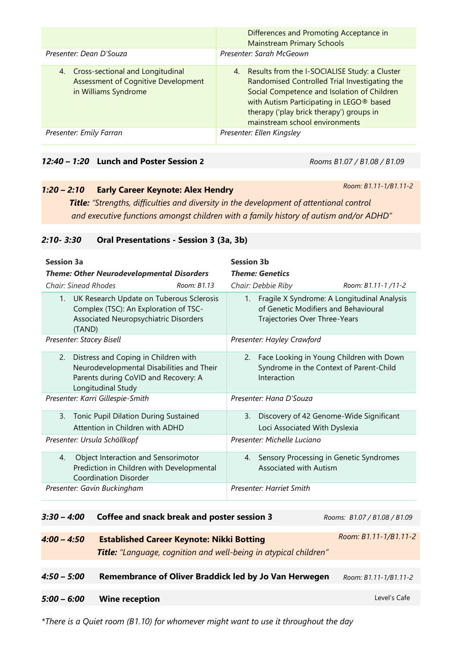|                                                                                                           | Differences and Promoting Acceptance in<br><b>Mainstream Primary Schools</b>                                                                                                                                                                                               |  |  |
|-----------------------------------------------------------------------------------------------------------|----------------------------------------------------------------------------------------------------------------------------------------------------------------------------------------------------------------------------------------------------------------------------|--|--|
| Presenter: Dean D'Souza                                                                                   | Presenter: Sarah McGeown                                                                                                                                                                                                                                                   |  |  |
| 4. Cross-sectional and Longitudinal<br><b>Assessment of Cognitive Development</b><br>in Williams Syndrome | 4. Results from the I-SOCIALISE Study: a Cluster<br>Randomised Controlled Trial Investigating the<br>Social Competence and Isolation of Children<br>with Autism Participating in LEGO® based<br>therapy ('play brick therapy') groups in<br>mainstream school environments |  |  |
| Presenter: Emily Farran                                                                                   | Presenter: Ellen Kingsley                                                                                                                                                                                                                                                  |  |  |

#### *12:40 – 1:20* **Lunch and Poster Session 2** *Rooms B1.07 / B1.08 / B1.09*

### *1:20 – 2:10* **Early Career Keynote: Alex Hendry**

*Room: B1.11-1/B1.11-2*

*Title: "Strengths, difficulties and diversity in the development of attentional control and executive functions amongst children with a family history of autism and/or ADHD"*

| 2:10- 3:30 | <b>Oral Presentations - Session 3 (3a, 3b)</b> |  |  |
|------------|------------------------------------------------|--|--|
|            |                                                |  |  |

| <b>Session 3a</b>                                                                                                                                     | <b>Session 3b</b>                                                                                                       |  |  |
|-------------------------------------------------------------------------------------------------------------------------------------------------------|-------------------------------------------------------------------------------------------------------------------------|--|--|
| <b>Theme: Other Neurodevelopmental Disorders</b><br>Chair: Sinead Rhodes<br>Room: B1.13                                                               | <b>Theme: Genetics</b><br>Chair: Debbie Riby<br>Room: B1.11-1/11-2                                                      |  |  |
| UK Research Update on Tuberous Sclerosis<br>1.<br>Complex (TSC): An Exploration of TSC-<br>Associated Neuropsychiatric Disorders<br>(TAND)            | 1. Fragile X Syndrome: A Longitudinal Analysis<br>of Genetic Modifiers and Behavioural<br>Trajectories Over Three-Years |  |  |
| Presenter: Stacey Bisell                                                                                                                              | Presenter: Hayley Crawford                                                                                              |  |  |
| Distress and Coping in Children with<br>2.<br>Neurodevelopmental Disabilities and Their<br>Parents during CoVID and Recovery: A<br>Longitudinal Study | Face Looking in Young Children with Down<br>2.<br>Syndrome in the Context of Parent-Child<br>Interaction                |  |  |
| Presenter: Karri Gillespie-Smith                                                                                                                      | Presenter: Hana D'Souza                                                                                                 |  |  |
| Tonic Pupil Dilation During Sustained<br>3.<br>Attention in Children with ADHD                                                                        | Discovery of 42 Genome-Wide Significant<br>3.<br>Loci Associated With Dyslexia                                          |  |  |
| Presenter: Ursula Schöllkopf                                                                                                                          | Presenter: Michelle Luciano                                                                                             |  |  |
| Object Interaction and Sensorimotor<br>4.<br>Prediction in Children with Developmental<br><b>Coordination Disorder</b>                                | Sensory Processing in Genetic Syndromes<br>4.<br>Associated with Autism                                                 |  |  |
| Presenter: Gavin Buckingham                                                                                                                           | Presenter: Harriet Smith                                                                                                |  |  |

| $3:30 - 4:00$ | Coffee and snack break and poster session 3                                                                                 | Rooms: B1.07 / B1.08 / B1.09 |
|---------------|-----------------------------------------------------------------------------------------------------------------------------|------------------------------|
| $4:00 - 4:50$ | <b>Established Career Keynote: Nikki Botting</b><br><b>Title:</b> "Language, cognition and well-being in atypical children" | Room: B1.11-1/B1.11-2        |
| $4:50 - 5:00$ | Remembrance of Oliver Braddick led by Jo Van Herwegen                                                                       | Room: B1.11-1/B1.11-2        |
| $5:00 - 6:00$ | <b>Wine reception</b>                                                                                                       | Level's Cafe                 |

*\*There is a Quiet room (B1.10) for whomever might want to use it throughout the day*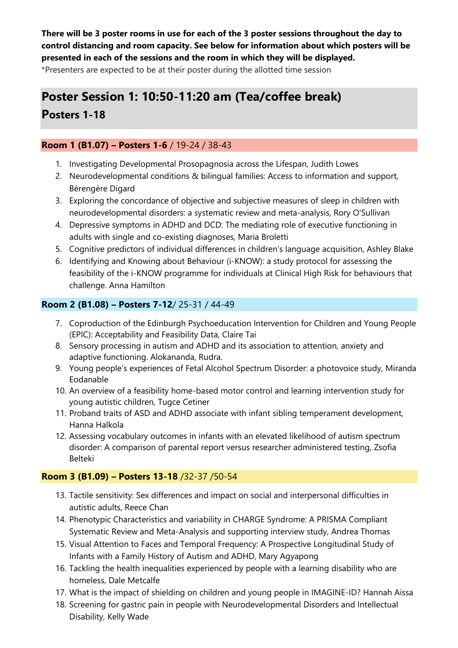**There will be 3 poster rooms in use for each of the 3 poster sessions throughout the day to control distancing and room capacity. See below for information about which posters will be presented in each of the sessions and the room in which they will be displayed.**  \*Presenters are expected to be at their poster during the allotted time session

## **Poster Session 1: 10:50-11:20 am (Tea/coffee break)**

**Posters 1-18**

### **Room 1 (B1.07) – Posters 1-6** / 19-24 / 38-43

- 1. Investigating Developmental Prosopagnosia across the Lifespan, Judith Lowes
- 2. Neurodevelopmental conditions & bilingual families: Access to information and support, Bérengère Digard
- 3. Exploring the concordance of objective and subjective measures of sleep in children with neurodevelopmental disorders: a systematic review and meta-analysis, Rory O'Sullivan
- 4. Depressive symptoms in ADHD and DCD: The mediating role of executive functioning in adults with single and co-existing diagnoses, Maria Broletti
- 5. Cognitive predictors of individual differences in children's language acquisition, Ashley Blake
- 6. Identifying and Knowing about Behaviour (i-KNOW): a study protocol for assessing the feasibility of the i-KNOW programme for individuals at Clinical High Risk for behaviours that challenge. Anna Hamilton

### **Room 2 (B1.08) – Posters 7-12**/ 25-31 / 44-49

- 7. Coproduction of the Edinburgh Psychoeducation Intervention for Children and Young People (EPIC): Acceptability and Feasibility Data, Claire Tai
- 8. Sensory processing in autism and ADHD and its association to attention, anxiety and adaptive functioning. Alokananda, Rudra.
- 9. Young people's experiences of Fetal Alcohol Spectrum Disorder: a photovoice study, Miranda Eodanable
- 10. An overview of a feasibility home-based motor control and learning intervention study for young autistic children, Tugce Cetiner
- 11. Proband traits of ASD and ADHD associate with infant sibling temperament development, Hanna Halkola
- 12. Assessing vocabulary outcomes in infants with an elevated likelihood of autism spectrum disorder: A comparison of parental report versus researcher administered testing, Zsofia Belteki

### **Room 3 (B1.09) – Posters 13-18** /32-37 /50-54

- 13. Tactile sensitivity: Sex differences and impact on social and interpersonal difficulties in autistic adults, Reece Chan
- 14. Phenotypic Characteristics and variability in CHARGE Syndrome: A PRISMA Compliant Systematic Review and Meta-Analysis and supporting interview study, Andrea Thomas
- 15. Visual Attention to Faces and Temporal Frequency: A Prospective Longitudinal Study of Infants with a Family History of Autism and ADHD, Mary Agyapong
- 16. Tackling the health inequalities experienced by people with a learning disability who are homeless, Dale Metcalfe
- 17. What is the impact of shielding on children and young people in IMAGINE-ID? Hannah Aissa
- 18. Screening for gastric pain in people with Neurodevelopmental Disorders and Intellectual Disability, Kelly Wade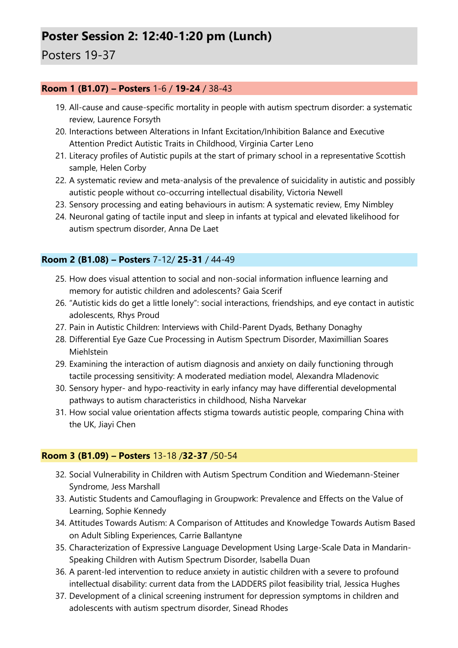## **Poster Session 2: 12:40-1:20 pm (Lunch)**

### Posters 19-37

### **Room 1 (B1.07) – Posters** 1-6 / **19-24** / 38-43

- 19. All-cause and cause-specific mortality in people with autism spectrum disorder: a systematic review, Laurence Forsyth
- 20. Interactions between Alterations in Infant Excitation/Inhibition Balance and Executive Attention Predict Autistic Traits in Childhood, Virginia Carter Leno
- 21. Literacy profiles of Autistic pupils at the start of primary school in a representative Scottish sample, Helen Corby
- 22. A systematic review and meta-analysis of the prevalence of suicidality in autistic and possibly autistic people without co-occurring intellectual disability, Victoria Newell
- 23. Sensory processing and eating behaviours in autism: A systematic review, Emy Nimbley
- 24. Neuronal gating of tactile input and sleep in infants at typical and elevated likelihood for autism spectrum disorder, Anna De Laet

### **Room 2 (B1.08) – Posters** 7-12/ **25-31** / 44-49

- 25. How does visual attention to social and non-social information influence learning and memory for autistic children and adolescents? Gaia Scerif
- 26. "Autistic kids do get a little lonely": social interactions, friendships, and eye contact in autistic adolescents, Rhys Proud
- 27. Pain in Autistic Children: Interviews with Child-Parent Dyads, Bethany Donaghy
- 28. Differential Eye Gaze Cue Processing in Autism Spectrum Disorder, Maximillian Soares Miehlstein
- 29. Examining the interaction of autism diagnosis and anxiety on daily functioning through tactile processing sensitivity: A moderated mediation model, Alexandra Mladenovic
- 30. Sensory hyper- and hypo-reactivity in early infancy may have differential developmental pathways to autism characteristics in childhood, Nisha Narvekar
- 31. How social value orientation affects stigma towards autistic people, comparing China with the UK, Jiayi Chen

### **Room 3 (B1.09) – Posters** 13-18 /**32-37** /50-54

- 32. Social Vulnerability in Children with Autism Spectrum Condition and Wiedemann-Steiner Syndrome, Jess Marshall
- 33. Autistic Students and Camouflaging in Groupwork: Prevalence and Effects on the Value of Learning, Sophie Kennedy
- 34. Attitudes Towards Autism: A Comparison of Attitudes and Knowledge Towards Autism Based on Adult Sibling Experiences, Carrie Ballantyne
- 35. Characterization of Expressive Language Development Using Large-Scale Data in Mandarin-Speaking Children with Autism Spectrum Disorder, Isabella Duan
- 36. A parent-led intervention to reduce anxiety in autistic children with a severe to profound intellectual disability: current data from the LADDERS pilot feasibility trial, Jessica Hughes
- 37. Development of a clinical screening instrument for depression symptoms in children and adolescents with autism spectrum disorder, Sinead Rhodes